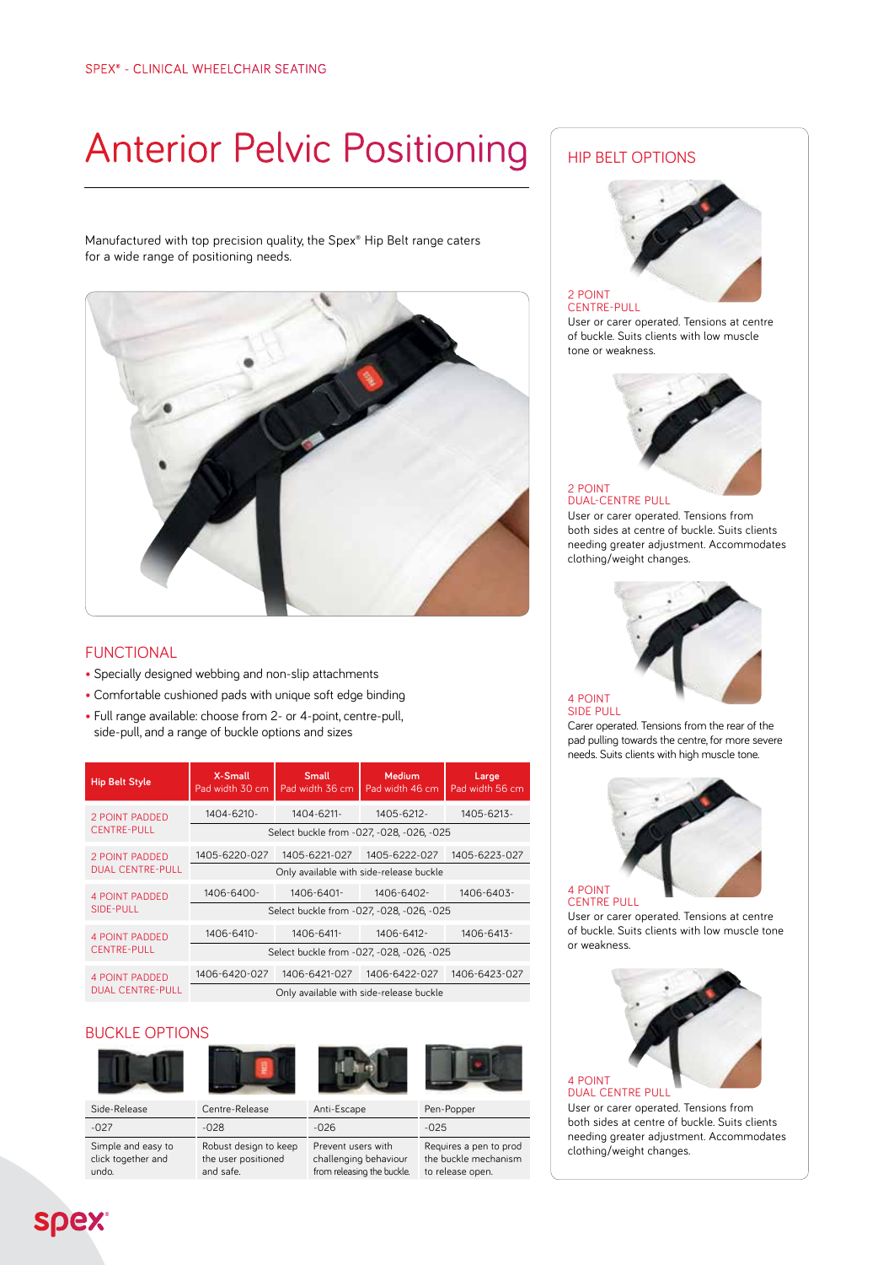# Anterior Pelvic Positioning | HIP BELT OPTIONS

Manufactured with top precision quality, the Spex® Hip Belt range caters for a wide range of positioning needs.



### FUNCTIONAL

- Specially designed webbing and non-slip attachments
- Comfortable cushioned pads with unique soft edge binding
- Full range available: choose from 2- or 4-point, centre-pull, side-pull, and a range of buckle options and sizes

| <b>Hip Belt Style</b>                            | X-Small<br>Pad width 30 cm                | <b>Small</b><br>Pad width 36 cm | Medium<br>Pad width 46 cm | Large<br>Pad width 56 cm |
|--------------------------------------------------|-------------------------------------------|---------------------------------|---------------------------|--------------------------|
| <b>2 POINT PADDED</b><br><b>CENTRE-PULL</b>      | $1404 - 6210 -$                           | 1404-6211-                      | 1405-6212-                | 1405-6213-               |
|                                                  | Select buckle from -027, -028, -026, -025 |                                 |                           |                          |
| <b>2 POINT PADDED</b><br><b>DUAL CENTRE-PULL</b> | 1405-6220-027                             | 1405-6221-027                   | 1405-6222-027             | 1405-6223-027            |
|                                                  | Only available with side-release buckle   |                                 |                           |                          |
| <b>4 POINT PADDED</b><br>SIDE-PULL               | $1406 - 6400 -$                           | 1406-6401-                      | 1406-6402-                | $1406 - 6403 -$          |
|                                                  | Select buckle from -027, -028, -026, -025 |                                 |                           |                          |
| <b>4 POINT PADDED</b><br><b>CENTRE-PULL</b>      | 1406-6410-                                | 1406-6411-                      | 1406-6412-                | 1406-6413-               |
|                                                  | Select buckle from -027, -028, -026, -025 |                                 |                           |                          |
| <b>4 POINT PADDED</b><br><b>DUAL CENTRE-PULL</b> | 1406-6420-027                             | 1406-6421-027                   | 1406-6422-027             | 1406-6423-027            |
|                                                  | Only available with side-release buckle   |                                 |                           |                          |

#### BUCKLE OPTIONS



Simple and easy to click together and



Robust design to keep the user positioned and safe.





Side-Release Centre-Release Anti-Escape Pen-Popper -027 -028 -026 -025 Prevent users with

challenging behaviour from releasing the buckle.

Requires a pen to prod the buckle mechanism to release open.



#### 2 POINT CENTRE-PULL

User or carer operated. Tensions at centre of buckle. Suits clients with low muscle tone or weakness.



#### User or carer operated. Tensions from both sides at centre of buckle. Suits clients needing greater adjustment. Accommodates clothing/weight changes.



#### 4 POINT SIDE PULL

Carer operated. Tensions from the rear of the pad pulling towards the centre, for more severe needs. Suits clients with high muscle tone.



User or carer operated. Tensions at centre of buckle. Suits clients with low muscle tone or weakness.



User or carer operated. Tensions from both sides at centre of buckle. Suits clients needing greater adjustment. Accommodates clothing/weight changes.

undo. **Spex**